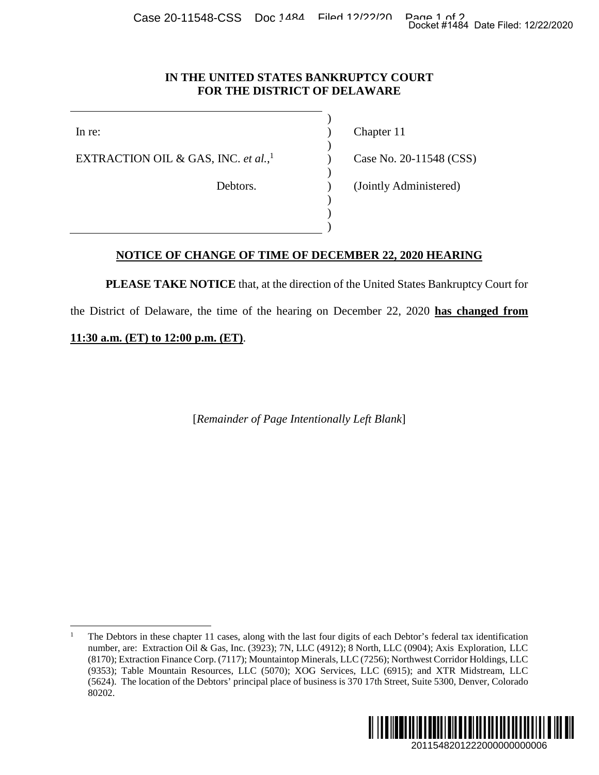Case 20-11548-CSS Doc 1484 Filed 12/22/20 Page 1 of 2<br>Docket #1484 Date Filed: 12/22/2020

)

)

)

) ) )

## **IN THE UNITED STATES BANKRUPTCY COURT FOR THE DISTRICT OF DELAWARE**

EXTRACTION OIL & GAS, INC. *et al.*, 1

In re: (a) Chapter 11

) Case No. 20-11548 (CSS)

Debtors. (Jointly Administered)

## **NOTICE OF CHANGE OF TIME OF DECEMBER 22, 2020 HEARING**

**PLEASE TAKE NOTICE** that, at the direction of the United States Bankruptcy Court for

the District of Delaware, the time of the hearing on December 22, 2020 **has changed from** 

**11:30 a.m. (ET) to 12:00 p.m. (ET)**.

[*Remainder of Page Intentionally Left Blank*]

<sup>1</sup> The Debtors in these chapter 11 cases, along with the last four digits of each Debtor's federal tax identification number, are: Extraction Oil & Gas, Inc. (3923); 7N, LLC (4912); 8 North, LLC (0904); Axis Exploration, LLC (8170); Extraction Finance Corp. (7117); Mountaintop Minerals, LLC (7256); Northwest Corridor Holdings, LLC (9353); Table Mountain Resources, LLC (5070); XOG Services, LLC (6915); and XTR Midstream, LLC (5624). The location of the Debtors' principal place of business is 370 17th Street, Suite 5300, Denver, Colorado 80202. 2011548201222000000000006 Docket #1484 Date Filed: 12/22/2020